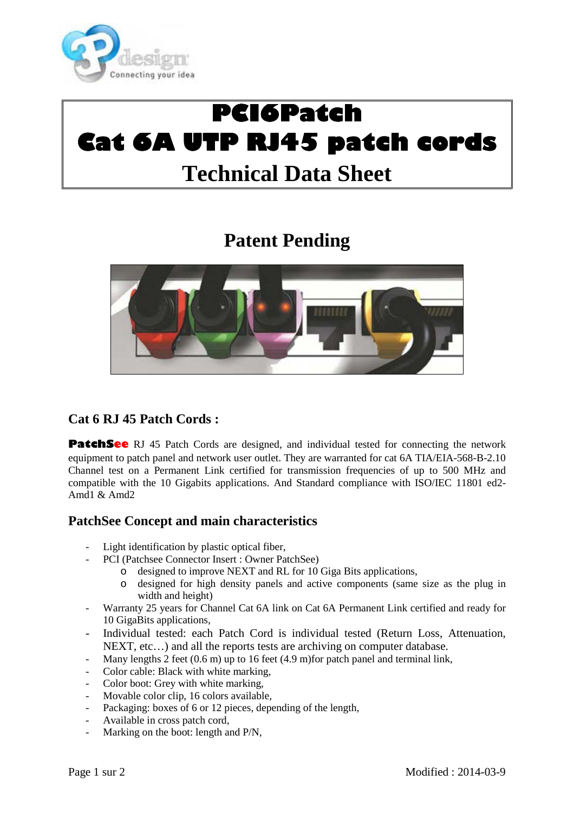

# **PCI6Patch PCI6Patch Cat 6AUTPRJ45patch cords patch cords Technical Data Sheet**

# **Patent Pending**



### **Cat 6 RJ 45 Patch Cords :**

**PatchSee** RJ 45 Patch Cords are designed, and individual tested for connecting the network equipment to patch panel and network user outlet. They are warranted for cat 6A TIA/EIA-568-B-2.10 Channel test on a Permanent Link certified for transmission frequencies of up to 500 MHz and compatible with the 10 Gigabits applications. And Standard compliance with ISO/IEC 11801 ed2- Amd $1$  & Amd $2$ 

#### **PatchSee Concept and main characteristics**

- Light identification by plastic optical fiber,
	- PCI (Patchsee Connector Insert : Owner PatchSee)
		- o designed to improve NEXT and RL for 10 Giga Bits applications,
		- o designed for high density panels and active components (same size as the plug in width and height)
- Warranty 25 years for Channel Cat 6A link on Cat 6A Permanent Link certified and ready for 10 GigaBits applications,
- Individual tested: each Patch Cord is individual tested (Return Loss, Attenuation, NEXT, etc…) and all the reports tests are archiving on computer database.
- Many lengths 2 feet (0.6 m) up to 16 feet (4.9 m) for patch panel and terminal link,
- Color cable: Black with white marking,
- Color boot: Grey with white marking,
- Movable color clip, 16 colors available,
- Packaging: boxes of 6 or 12 pieces, depending of the length,
- Available in cross patch cord,
- Marking on the boot: length and P/N,